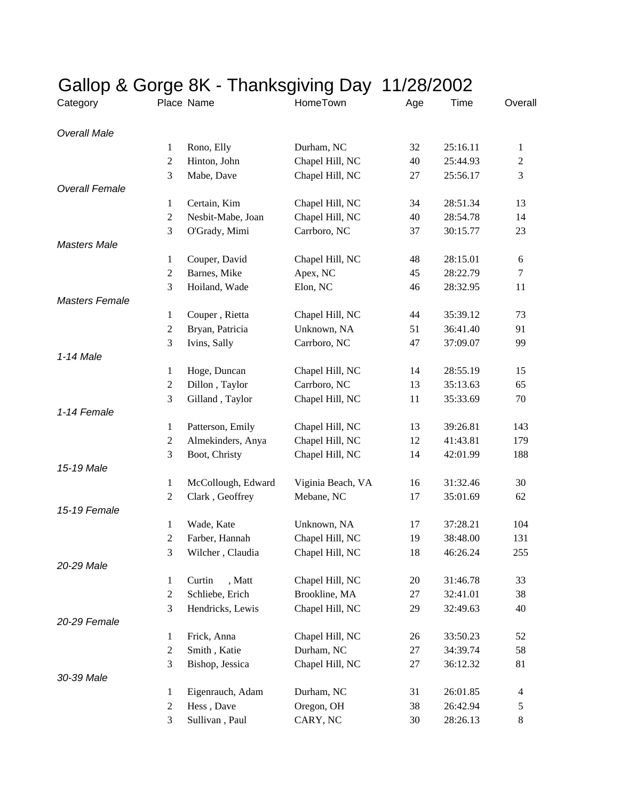|                       |                                | Gallop & Gorge 8K - Thanksgiving Day 11/28/2002 |                   |     |          |                |
|-----------------------|--------------------------------|-------------------------------------------------|-------------------|-----|----------|----------------|
| Category              |                                | Place Name                                      | HomeTown          | Age | Time     | Overall        |
| <b>Overall Male</b>   |                                |                                                 |                   |     |          |                |
|                       | 1                              | Rono, Elly                                      | Durham, NC        | 32  | 25:16.11 | $\mathbf{1}$   |
|                       | $\overline{2}$                 | Hinton, John                                    | Chapel Hill, NC   | 40  | 25:44.93 | $\sqrt{2}$     |
|                       | 3                              | Mabe, Dave                                      | Chapel Hill, NC   | 27  | 25:56.17 | 3              |
| <b>Overall Female</b> |                                |                                                 |                   |     |          |                |
|                       | 1                              | Certain, Kim                                    | Chapel Hill, NC   | 34  | 28:51.34 | 13             |
|                       | $\overline{c}$                 | Nesbit-Mabe, Joan                               | Chapel Hill, NC   | 40  | 28:54.78 | 14             |
|                       | 3                              | O'Grady, Mimi                                   | Carrboro, NC      | 37  | 30:15.77 | 23             |
| <b>Masters Male</b>   |                                |                                                 |                   |     |          |                |
|                       | $\mathbf{1}$                   | Couper, David                                   | Chapel Hill, NC   | 48  | 28:15.01 | 6              |
|                       | $\overline{c}$                 | Barnes, Mike                                    | Apex, NC          | 45  | 28:22.79 | 7              |
|                       | 3                              | Hoiland, Wade                                   | Elon, NC          | 46  | 28:32.95 | 11             |
| <b>Masters Female</b> |                                |                                                 |                   |     |          |                |
|                       | $\mathbf{1}$                   | Couper, Rietta                                  | Chapel Hill, NC   | 44  | 35:39.12 | 73             |
|                       | $\boldsymbol{2}$               | Bryan, Patricia                                 | Unknown, NA       | 51  | 36:41.40 | 91             |
|                       | 3                              | Ivins, Sally                                    | Carrboro, NC      | 47  | 37:09.07 | 99             |
| 1-14 Male             |                                |                                                 |                   |     |          |                |
|                       | 1                              | Hoge, Duncan                                    | Chapel Hill, NC   | 14  | 28:55.19 | 15             |
|                       | $\overline{2}$                 | Dillon, Taylor                                  | Carrboro, NC      | 13  | 35:13.63 | 65             |
|                       | 3                              | Gilland, Taylor                                 | Chapel Hill, NC   | 11  | 35:33.69 | 70             |
| 1-14 Female           |                                |                                                 |                   |     |          |                |
|                       |                                |                                                 | Chapel Hill, NC   | 13  | 39:26.81 | 143            |
|                       | $\mathbf{1}$<br>$\overline{2}$ | Patterson, Emily<br>Almekinders, Anya           | Chapel Hill, NC   | 12  | 41:43.81 | 179            |
|                       | 3                              |                                                 |                   |     |          |                |
| 15-19 Male            |                                | Boot, Christy                                   | Chapel Hill, NC   | 14  | 42:01.99 | 188            |
|                       |                                |                                                 |                   |     |          |                |
|                       | 1                              | McCollough, Edward                              | Viginia Beach, VA | 16  | 31:32.46 | 30             |
|                       | $\overline{2}$                 | Clark, Geoffrey                                 | Mebane, NC        | 17  | 35:01.69 | 62             |
| 15-19 Female          |                                |                                                 |                   |     |          |                |
|                       | 1                              | Wade, Kate                                      | Unknown, NA       | 17  | 37:28.21 | 104            |
|                       | $\overline{2}$                 | Farber, Hannah                                  | Chapel Hill, NC   | 19  | 38:48.00 | 131            |
|                       | 3                              | Wilcher, Claudia                                | Chapel Hill, NC   | 18  | 46:26.24 | 255            |
| 20-29 Male            |                                |                                                 |                   |     |          |                |
|                       | 1                              | , Matt<br>Curtin                                | Chapel Hill, NC   | 20  | 31:46.78 | 33             |
|                       | $\overline{c}$                 | Schliebe, Erich                                 | Brookline, MA     | 27  | 32:41.01 | 38             |
|                       | 3                              | Hendricks, Lewis                                | Chapel Hill, NC   | 29  | 32:49.63 | 40             |
| 20-29 Female          |                                |                                                 |                   |     |          |                |
|                       | $\mathbf{1}$                   | Frick, Anna                                     | Chapel Hill, NC   | 26  | 33:50.23 | 52             |
|                       | $\overline{2}$                 | Smith, Katie                                    | Durham, NC        | 27  | 34:39.74 | 58             |
|                       | 3                              | Bishop, Jessica                                 | Chapel Hill, NC   | 27  | 36:12.32 | 81             |
| 30-39 Male            |                                |                                                 |                   |     |          |                |
|                       | 1                              | Eigenrauch, Adam                                | Durham, NC        | 31  | 26:01.85 | $\overline{4}$ |
|                       | 2                              | Hess, Dave                                      | Oregon, OH        | 38  | 26:42.94 | 5              |
|                       | 3                              | Sullivan, Paul                                  | CARY, NC          | 30  | 28:26.13 | 8              |